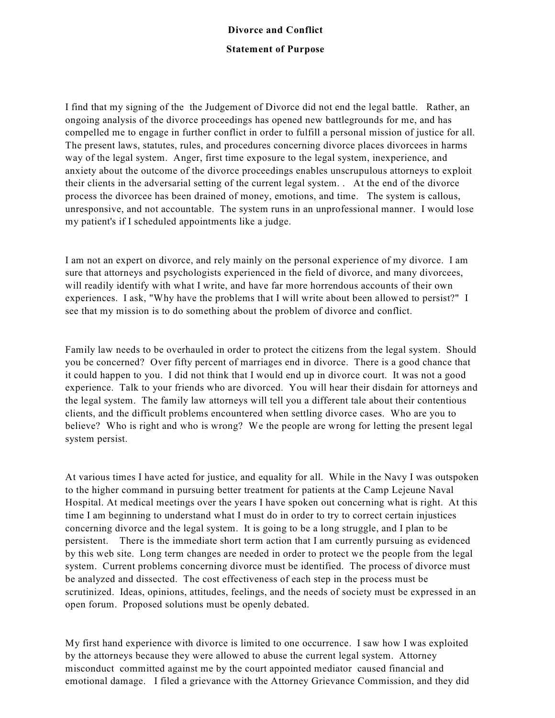## **Divorce and Conflict Statement of Purpose**

I find that my signing of the the Judgement of Divorce did not end the legal battle. Rather, an ongoing analysis of the divorce proceedings has opened new battlegrounds for me, and has compelled me to engage in further conflict in order to fulfill a personal mission of justice for all. The present laws, statutes, rules, and procedures concerning divorce places divorcees in harms way of the legal system. Anger, first time exposure to the legal system, inexperience, and anxiety about the outcome of the divorce proceedings enables unscrupulous attorneys to exploit their clients in the adversarial setting of the current legal system. . At the end of the divorce process the divorcee has been drained of money, emotions, and time. The system is callous, unresponsive, and not accountable. The system runs in an unprofessional manner. I would lose my patient's if I scheduled appointments like a judge.

I am not an expert on divorce, and rely mainly on the personal experience of my divorce. I am sure that attorneys and psychologists experienced in the field of divorce, and many divorcees, will readily identify with what I write, and have far more horrendous accounts of their own experiences. I ask, "Why have the problems that I will write about been allowed to persist?" I see that my mission is to do something about the problem of divorce and conflict.

Family law needs to be overhauled in order to protect the citizens from the legal system. Should you be concerned? Over fifty percent of marriages end in divorce. There is a good chance that it could happen to you. I did not think that I would end up in divorce court. It was not a good experience. Talk to your friends who are divorced. You will hear their disdain for attorneys and the legal system. The family law attorneys will tell you a different tale about their contentious clients, and the difficult problems encountered when settling divorce cases. Who are you to believe? Who is right and who is wrong? We the people are wrong for letting the present legal system persist.

At various times I have acted for justice, and equality for all. While in the Navy I was outspoken to the higher command in pursuing better treatment for patients at the Camp Lejeune Naval Hospital. At medical meetings over the years I have spoken out concerning what is right. At this time I am beginning to understand what I must do in order to try to correct certain injustices concerning divorce and the legal system. It is going to be a long struggle, and I plan to be persistent. There is the immediate short term action that I am currently pursuing as evidenced by this web site. Long term changes are needed in order to protect we the people from the legal system. Current problems concerning divorce must be identified. The process of divorce must be analyzed and dissected. The cost effectiveness of each step in the process must be scrutinized. Ideas, opinions, attitudes, feelings, and the needs of society must be expressed in an open forum. Proposed solutions must be openly debated.

My first hand experience with divorce is limited to one occurrence. I saw how I was exploited by the attorneys because they were allowed to abuse the current legal system. Attorney misconduct committed against me by the court appointed mediator caused financial and emotional damage. I filed a grievance with the Attorney Grievance Commission, and they did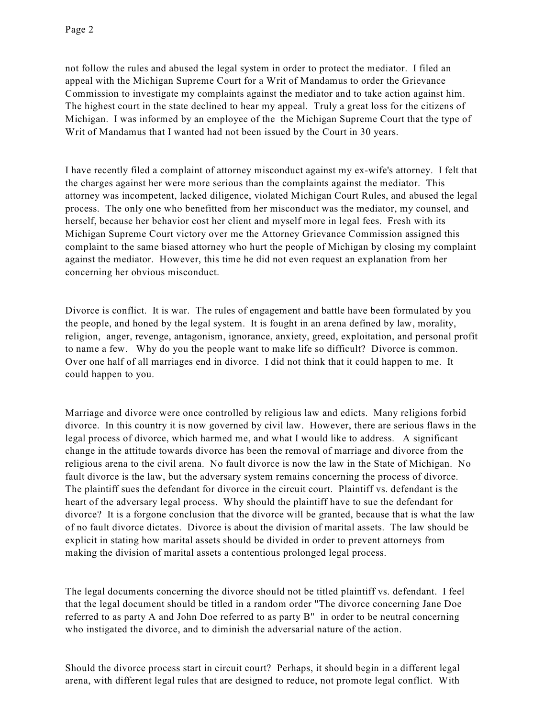not follow the rules and abused the legal system in order to protect the mediator. I filed an appeal with the Michigan Supreme Court for a Writ of Mandamus to order the Grievance Commission to investigate my complaints against the mediator and to take action against him. The highest court in the state declined to hear my appeal. Truly a great loss for the citizens of Michigan. I was informed by an employee of the the Michigan Supreme Court that the type of Writ of Mandamus that I wanted had not been issued by the Court in 30 years.

I have recently filed a complaint of attorney misconduct against my ex-wife's attorney. I felt that the charges against her were more serious than the complaints against the mediator. This attorney was incompetent, lacked diligence, violated Michigan Court Rules, and abused the legal process. The only one who benefitted from her misconduct was the mediator, my counsel, and herself, because her behavior cost her client and myself more in legal fees. Fresh with its Michigan Supreme Court victory over me the Attorney Grievance Commission assigned this complaint to the same biased attorney who hurt the people of Michigan by closing my complaint against the mediator. However, this time he did not even request an explanation from her concerning her obvious misconduct.

Divorce is conflict. It is war. The rules of engagement and battle have been formulated by you the people, and honed by the legal system. It is fought in an arena defined by law, morality, religion, anger, revenge, antagonism, ignorance, anxiety, greed, exploitation, and personal profit to name a few. Why do you the people want to make life so difficult? Divorce is common. Over one half of all marriages end in divorce. I did not think that it could happen to me. It could happen to you.

Marriage and divorce were once controlled by religious law and edicts. Many religions forbid divorce. In this country it is now governed by civil law. However, there are serious flaws in the legal process of divorce, which harmed me, and what I would like to address. A significant change in the attitude towards divorce has been the removal of marriage and divorce from the religious arena to the civil arena. No fault divorce is now the law in the State of Michigan. No fault divorce is the law, but the adversary system remains concerning the process of divorce. The plaintiff sues the defendant for divorce in the circuit court. Plaintiff vs. defendant is the heart of the adversary legal process. Why should the plaintiff have to sue the defendant for divorce? It is a forgone conclusion that the divorce will be granted, because that is what the law of no fault divorce dictates. Divorce is about the division of marital assets. The law should be explicit in stating how marital assets should be divided in order to prevent attorneys from making the division of marital assets a contentious prolonged legal process.

The legal documents concerning the divorce should not be titled plaintiff vs. defendant. I feel that the legal document should be titled in a random order "The divorce concerning Jane Doe referred to as party A and John Doe referred to as party B" in order to be neutral concerning who instigated the divorce, and to diminish the adversarial nature of the action.

Should the divorce process start in circuit court? Perhaps, it should begin in a different legal arena, with different legal rules that are designed to reduce, not promote legal conflict. With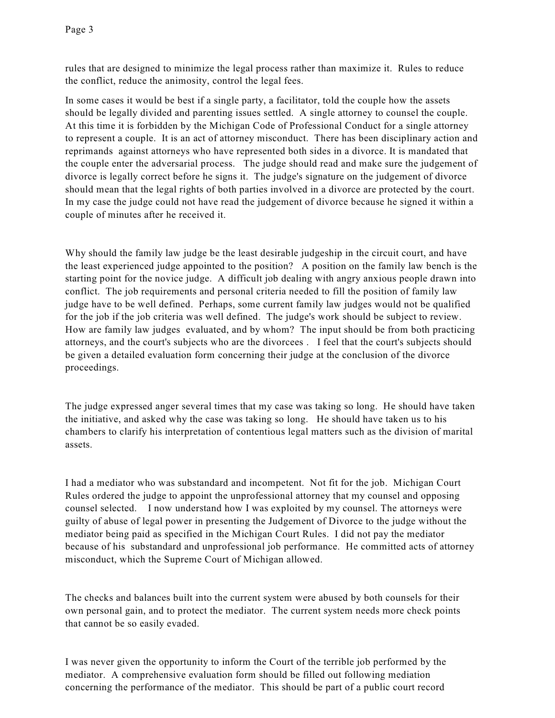rules that are designed to minimize the legal process rather than maximize it. Rules to reduce the conflict, reduce the animosity, control the legal fees.

In some cases it would be best if a single party, a facilitator, told the couple how the assets should be legally divided and parenting issues settled. A single attorney to counsel the couple. At this time it is forbidden by the Michigan Code of Professional Conduct for a single attorney to represent a couple. It is an act of attorney misconduct. There has been disciplinary action and reprimands against attorneys who have represented both sides in a divorce. It is mandated that the couple enter the adversarial process. The judge should read and make sure the judgement of divorce is legally correct before he signs it. The judge's signature on the judgement of divorce should mean that the legal rights of both parties involved in a divorce are protected by the court. In my case the judge could not have read the judgement of divorce because he signed it within a couple of minutes after he received it.

Why should the family law judge be the least desirable judgeship in the circuit court, and have the least experienced judge appointed to the position? A position on the family law bench is the starting point for the novice judge. A difficult job dealing with angry anxious people drawn into conflict. The job requirements and personal criteria needed to fill the position of family law judge have to be well defined. Perhaps, some current family law judges would not be qualified for the job if the job criteria was well defined. The judge's work should be subject to review. How are family law judges evaluated, and by whom? The input should be from both practicing attorneys, and the court's subjects who are the divorcees . I feel that the court's subjects should be given a detailed evaluation form concerning their judge at the conclusion of the divorce proceedings.

The judge expressed anger several times that my case was taking so long. He should have taken the initiative, and asked why the case was taking so long. He should have taken us to his chambers to clarify his interpretation of contentious legal matters such as the division of marital assets.

I had a mediator who was substandard and incompetent. Not fit for the job. Michigan Court Rules ordered the judge to appoint the unprofessional attorney that my counsel and opposing counsel selected. I now understand how I was exploited by my counsel. The attorneys were guilty of abuse of legal power in presenting the Judgement of Divorce to the judge without the mediator being paid as specified in the Michigan Court Rules. I did not pay the mediator because of his substandard and unprofessional job performance. He committed acts of attorney misconduct, which the Supreme Court of Michigan allowed.

The checks and balances built into the current system were abused by both counsels for their own personal gain, and to protect the mediator. The current system needs more check points that cannot be so easily evaded.

I was never given the opportunity to inform the Court of the terrible job performed by the mediator. A comprehensive evaluation form should be filled out following mediation concerning the performance of the mediator. This should be part of a public court record